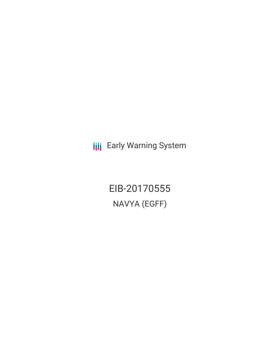**III** Early Warning System

EIB-20170555 NAVYA (EGFF)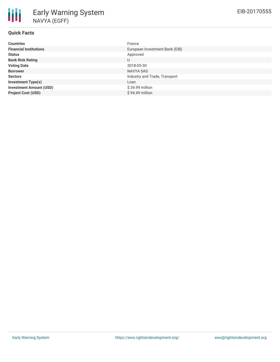| <b>Countries</b>               | France                         |
|--------------------------------|--------------------------------|
| <b>Financial Institutions</b>  | European Investment Bank (EIB) |
| <b>Status</b>                  | Approved                       |
| <b>Bank Risk Rating</b>        | U                              |
| <b>Voting Date</b>             | 2018-05-30                     |
| <b>Borrower</b>                | NAVYA SAS                      |
| <b>Sectors</b>                 | Industry and Trade, Transport  |
| <b>Investment Type(s)</b>      | Loan                           |
| <b>Investment Amount (USD)</b> | \$34.99 million                |
| <b>Project Cost (USD)</b>      | $$94.49$ million               |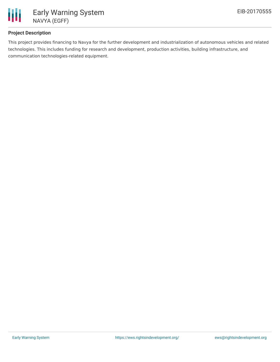

## **Project Description**

This project provides financing to Navya for the further development and industrialization of autonomous vehicles and related technologies. This includes funding for research and development, production activities, building infrastructure, and communication technologies-related equipment.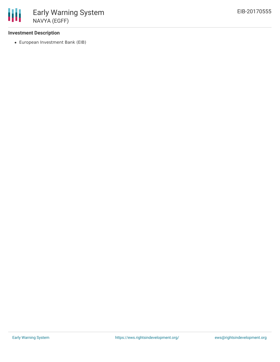### **Investment Description**

European Investment Bank (EIB)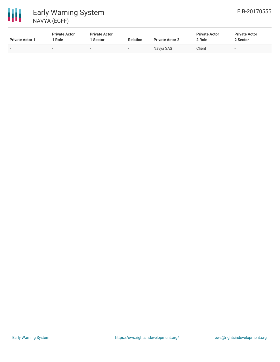# 冊 Early Warning System NAVYA (EGFF)

| <b>Private Actor 1</b>   | <b>Private Actor</b><br>Role | <b>Private Actor</b><br>1 Sector | <b>Relation</b> | <b>Private Actor 2</b> | <b>Private Actor</b><br>2 Role | <b>Private Actor</b><br>2 Sector |
|--------------------------|------------------------------|----------------------------------|-----------------|------------------------|--------------------------------|----------------------------------|
| $\overline{\phantom{0}}$ | -                            | $\sim$                           | $\sim$          | Navya SAS              | Client                         | $\overline{\phantom{0}}$         |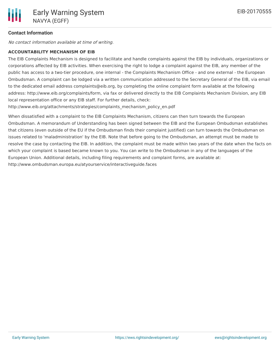## **Contact Information**

No contact information available at time of writing.

#### **ACCOUNTABILITY MECHANISM OF EIB**

The EIB Complaints Mechanism is designed to facilitate and handle complaints against the EIB by individuals, organizations or corporations affected by EIB activities. When exercising the right to lodge a complaint against the EIB, any member of the public has access to a two-tier procedure, one internal - the Complaints Mechanism Office - and one external - the European Ombudsman. A complaint can be lodged via a written communication addressed to the Secretary General of the EIB, via email to the dedicated email address complaints@eib.org, by completing the online complaint form available at the following address: http://www.eib.org/complaints/form, via fax or delivered directly to the EIB Complaints Mechanism Division, any EIB local representation office or any EIB staff. For further details, check:

http://www.eib.org/attachments/strategies/complaints\_mechanism\_policy\_en.pdf

When dissatisfied with a complaint to the EIB Complaints Mechanism, citizens can then turn towards the European Ombudsman. A memorandum of Understanding has been signed between the EIB and the European Ombudsman establishes that citizens (even outside of the EU if the Ombudsman finds their complaint justified) can turn towards the Ombudsman on issues related to 'maladministration' by the EIB. Note that before going to the Ombudsman, an attempt must be made to resolve the case by contacting the EIB. In addition, the complaint must be made within two years of the date when the facts on which your complaint is based became known to you. You can write to the Ombudsman in any of the languages of the European Union. Additional details, including filing requirements and complaint forms, are available at: http://www.ombudsman.europa.eu/atyourservice/interactiveguide.faces